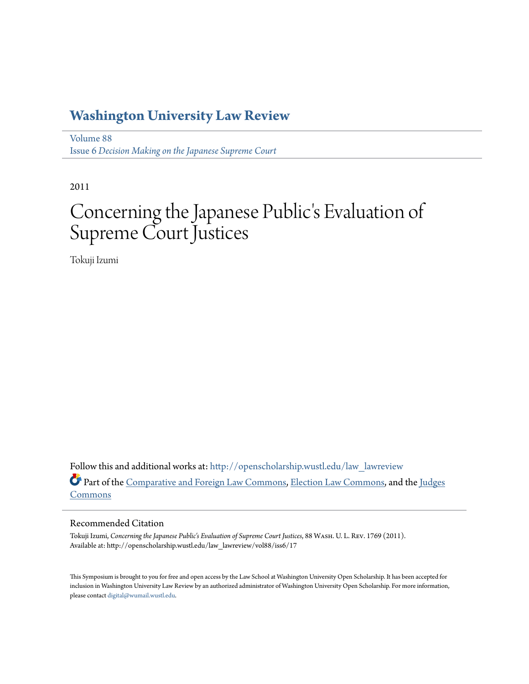## **[Washington University Law Review](http://openscholarship.wustl.edu/law_lawreview?utm_source=openscholarship.wustl.edu%2Flaw_lawreview%2Fvol88%2Fiss6%2F17&utm_medium=PDF&utm_campaign=PDFCoverPages)**

[Volume 88](http://openscholarship.wustl.edu/law_lawreview/vol88?utm_source=openscholarship.wustl.edu%2Flaw_lawreview%2Fvol88%2Fiss6%2F17&utm_medium=PDF&utm_campaign=PDFCoverPages) Issue 6 *[Decision Making on the Japanese Supreme Court](http://openscholarship.wustl.edu/law_lawreview/vol88/iss6?utm_source=openscholarship.wustl.edu%2Flaw_lawreview%2Fvol88%2Fiss6%2F17&utm_medium=PDF&utm_campaign=PDFCoverPages)*

2011

# Concerning the Japanese Public's Evaluation of Supreme Court Justices

Tokuji Izumi

Follow this and additional works at: [http://openscholarship.wustl.edu/law\\_lawreview](http://openscholarship.wustl.edu/law_lawreview?utm_source=openscholarship.wustl.edu%2Flaw_lawreview%2Fvol88%2Fiss6%2F17&utm_medium=PDF&utm_campaign=PDFCoverPages) Part of the [Comparative and Foreign Law Commons](http://network.bepress.com/hgg/discipline/836?utm_source=openscholarship.wustl.edu%2Flaw_lawreview%2Fvol88%2Fiss6%2F17&utm_medium=PDF&utm_campaign=PDFCoverPages), [Election Law Commons](http://network.bepress.com/hgg/discipline/1121?utm_source=openscholarship.wustl.edu%2Flaw_lawreview%2Fvol88%2Fiss6%2F17&utm_medium=PDF&utm_campaign=PDFCoverPages), and the [Judges](http://network.bepress.com/hgg/discipline/849?utm_source=openscholarship.wustl.edu%2Flaw_lawreview%2Fvol88%2Fiss6%2F17&utm_medium=PDF&utm_campaign=PDFCoverPages) [Commons](http://network.bepress.com/hgg/discipline/849?utm_source=openscholarship.wustl.edu%2Flaw_lawreview%2Fvol88%2Fiss6%2F17&utm_medium=PDF&utm_campaign=PDFCoverPages)

#### Recommended Citation

Tokuji Izumi, *Concerning the Japanese Public's Evaluation of Supreme Court Justices*, 88 Wash. U. L. Rev. 1769 (2011). Available at: http://openscholarship.wustl.edu/law\_lawreview/vol88/iss6/17

This Symposium is brought to you for free and open access by the Law School at Washington University Open Scholarship. It has been accepted for inclusion in Washington University Law Review by an authorized administrator of Washington University Open Scholarship. For more information, please contact [digital@wumail.wustl.edu.](mailto:digital@wumail.wustl.edu)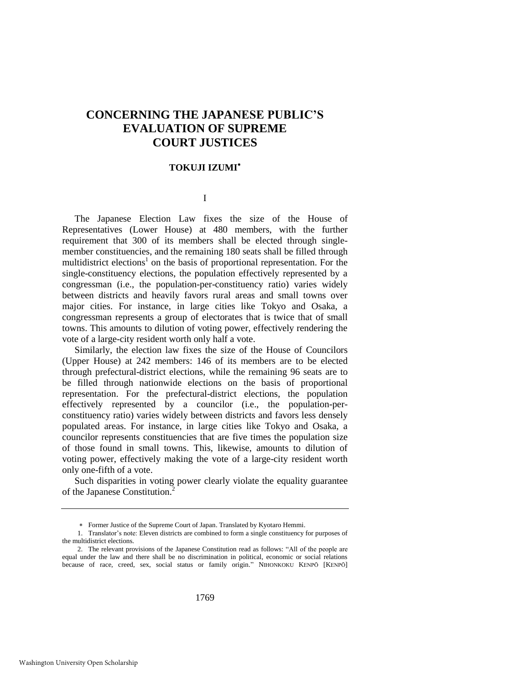### **CONCERNING THE JAPANESE PUBLIC'S EVALUATION OF SUPREME COURT JUSTICES**

#### **TOKUJI IZUMI**

#### I

The Japanese Election Law fixes the size of the House of Representatives (Lower House) at 480 members, with the further requirement that 300 of its members shall be elected through singlemember constituencies, and the remaining 180 seats shall be filled through multidistrict elections<sup>1</sup> on the basis of proportional representation. For the single-constituency elections, the population effectively represented by a congressman (i.e., the population-per-constituency ratio) varies widely between districts and heavily favors rural areas and small towns over major cities. For instance, in large cities like Tokyo and Osaka, a congressman represents a group of electorates that is twice that of small towns. This amounts to dilution of voting power, effectively rendering the vote of a large-city resident worth only half a vote.

Similarly, the election law fixes the size of the House of Councilors (Upper House) at 242 members: 146 of its members are to be elected through prefectural-district elections, while the remaining 96 seats are to be filled through nationwide elections on the basis of proportional representation. For the prefectural-district elections, the population effectively represented by a councilor (i.e., the population-perconstituency ratio) varies widely between districts and favors less densely populated areas. For instance, in large cities like Tokyo and Osaka, a councilor represents constituencies that are five times the population size of those found in small towns. This, likewise, amounts to dilution of voting power, effectively making the vote of a large-city resident worth only one-fifth of a vote.

Such disparities in voting power clearly violate the equality guarantee of the Japanese Constitution.<sup>2</sup>

Former Justice of the Supreme Court of Japan. Translated by Kyotaro Hemmi.

<sup>1.</sup> Translator's note: Eleven districts are combined to form a single constituency for purposes of the multidistrict elections.

<sup>2.</sup> The relevant provisions of the Japanese Constitution read as follows: "All of the people are equal under the law and there shall be no discrimination in political, economic or social relations because of race, creed, sex, social status or family origin." NIHONKOKU KENPŌ [KENPŌ]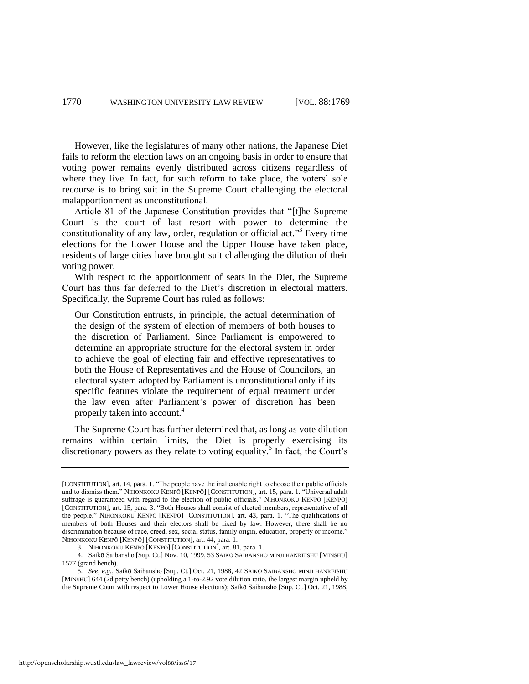However, like the legislatures of many other nations, the Japanese Diet fails to reform the election laws on an ongoing basis in order to ensure that voting power remains evenly distributed across citizens regardless of where they live. In fact, for such reform to take place, the voters' sole recourse is to bring suit in the Supreme Court challenging the electoral malapportionment as unconstitutional.

Article 81 of the Japanese Constitution provides that "[t]he Supreme Court is the court of last resort with power to determine the constitutionality of any law, order, regulation or official act."<sup>3</sup> Every time elections for the Lower House and the Upper House have taken place, residents of large cities have brought suit challenging the dilution of their voting power.

With respect to the apportionment of seats in the Diet, the Supreme Court has thus far deferred to the Diet's discretion in electoral matters. Specifically, the Supreme Court has ruled as follows:

Our Constitution entrusts, in principle, the actual determination of the design of the system of election of members of both houses to the discretion of Parliament. Since Parliament is empowered to determine an appropriate structure for the electoral system in order to achieve the goal of electing fair and effective representatives to both the House of Representatives and the House of Councilors, an electoral system adopted by Parliament is unconstitutional only if its specific features violate the requirement of equal treatment under the law even after Parliament's power of discretion has been properly taken into account.<sup>4</sup>

The Supreme Court has further determined that, as long as vote dilution remains within certain limits, the Diet is properly exercising its discretionary powers as they relate to voting equality.<sup>5</sup> In fact, the Court's

<sup>[</sup>CONSTITUTION], art. 14, para. 1. "The people have the inalienable right to choose their public officials and to dismiss them." NIHONKOKU KENPŌ [KENPŌ] [CONSTITUTION], art. 15, para. 1. "Universal adult suffrage is guaranteed with regard to the election of public officials." NIHONKOKU KENPŌ [KENPŌ] [CONSTITUTION], art. 15, para. 3. "Both Houses shall consist of elected members, representative of all the people." NIHONKOKU KENPŌ [KENPŌ] [CONSTITUTION], art. 43, para. 1. "The qualifications of members of both Houses and their electors shall be fixed by law. However, there shall be no discrimination because of race, creed, sex, social status, family origin, education, property or income." NIHONKOKU KENPŌ [KENPŌ] [CONSTITUTION], art. 44, para. 1.

<sup>3.</sup> NIHONKOKU KENPŌ [KENPŌ] [CONSTITUTION], art. 81, para. 1.

<sup>4.</sup> Saikō Saibansho [Sup. Ct.] Nov. 10, 1999, 53 SAIKŌ SAIBANSHO MINJI HANREISHŪ [MINSHŪ] 1577 (grand bench).

<sup>5.</sup> *See, e.g.*, Saikō Saibansho [Sup. Ct.] Oct. 21, 1988, 42 SAIKŌ SAIBANSHO MINJI HANREISHŪ [MINSHŪ] 644 (2d petty bench) (upholding a 1-to-2.92 vote dilution ratio, the largest margin upheld by the Supreme Court with respect to Lower House elections); Saikō Saibansho [Sup. Ct.] Oct. 21, 1988,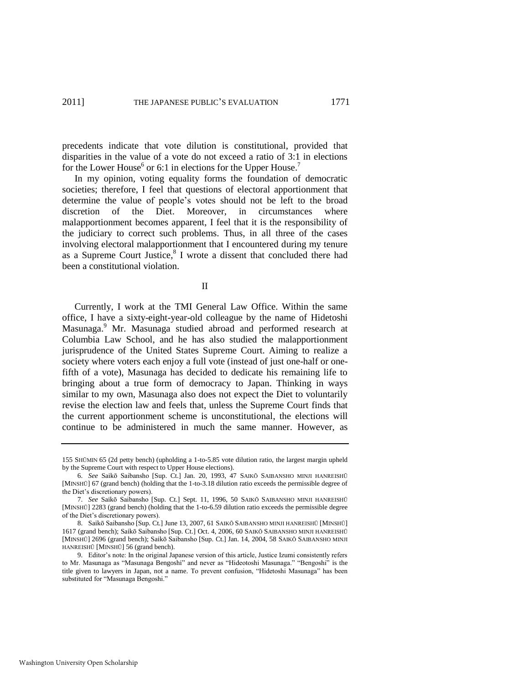precedents indicate that vote dilution is constitutional, provided that disparities in the value of a vote do not exceed a ratio of 3:1 in elections for the Lower House<sup>6</sup> or 6:1 in elections for the Upper House.<sup>7</sup>

In my opinion, voting equality forms the foundation of democratic societies; therefore, I feel that questions of electoral apportionment that determine the value of people's votes should not be left to the broad discretion of the Diet. Moreover, in circumstances where malapportionment becomes apparent, I feel that it is the responsibility of the judiciary to correct such problems. Thus, in all three of the cases involving electoral malapportionment that I encountered during my tenure as a Supreme Court Justice,<sup>8</sup> I wrote a dissent that concluded there had been a constitutional violation.

II

Currently, I work at the TMI General Law Office. Within the same office, I have a sixty-eight-year-old colleague by the name of Hidetoshi Masunaga.<sup>9</sup> Mr. Masunaga studied abroad and performed research at Columbia Law School, and he has also studied the malapportionment jurisprudence of the United States Supreme Court. Aiming to realize a society where voters each enjoy a full vote (instead of just one-half or onefifth of a vote), Masunaga has decided to dedicate his remaining life to bringing about a true form of democracy to Japan. Thinking in ways similar to my own, Masunaga also does not expect the Diet to voluntarily revise the election law and feels that, unless the Supreme Court finds that the current apportionment scheme is unconstitutional, the elections will continue to be administered in much the same manner. However, as

<sup>155</sup> SHŪMIN 65 (2d petty bench) (upholding a 1-to-5.85 vote dilution ratio, the largest margin upheld by the Supreme Court with respect to Upper House elections).

<sup>6.</sup> *See* Saikō Saibansho [Sup. Ct.] Jan. 20, 1993, 47 SAIKŌ SAIBANSHO MINJI HANREISHŪ [MINSHŪ] 67 (grand bench) (holding that the 1-to-3.18 dilution ratio exceeds the permissible degree of the Diet's discretionary powers).

<sup>7.</sup> *See* Saikō Saibansho [Sup. Ct.] Sept. 11, 1996, 50 SAIKŌ SAIBANSHO MINJI HANREISHŪ [MINSHŪ] 2283 (grand bench) (holding that the 1-to-6.59 dilution ratio exceeds the permissible degree of the Diet's discretionary powers).

<sup>8.</sup> Saikō Saibansho [Sup. Ct.] June 13, 2007, 61 SAIKŌ SAIBANSHO MINJI HANREISHŪ [MINSHŪ] 1617 (grand bench); Saikō Saibansho [Sup. Ct.] Oct. 4, 2006, 60 SAIKŌ SAIBANSHO MINJI HANREISHŪ [MINSHŪ] 2696 (grand bench); Saikō Saibansho [Sup. Ct.] Jan. 14, 2004, 58 SAIKŌ SAIBANSHO MINJI HANREISHŪ [MINSHŪ] 56 (grand bench).

<sup>9.</sup> Editor's note: In the original Japanese version of this article, Justice Izumi consistently refers to Mr. Masunaga as "Masunaga Bengoshi" and never as "Hideotoshi Masunaga." "Bengoshi" is the title given to lawyers in Japan, not a name. To prevent confusion, "Hidetoshi Masunaga" has been substituted for "Masunaga Bengoshi."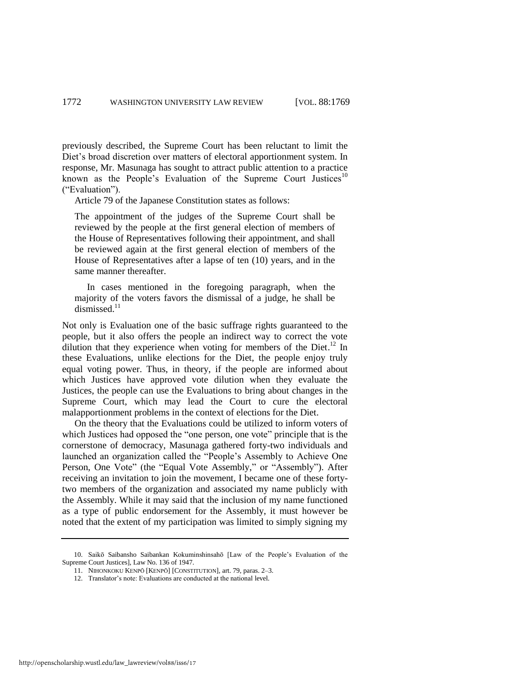previously described, the Supreme Court has been reluctant to limit the Diet's broad discretion over matters of electoral apportionment system. In response, Mr. Masunaga has sought to attract public attention to a practice known as the People's Evaluation of the Supreme Court Justices<sup>10</sup> ("Evaluation").

Article 79 of the Japanese Constitution states as follows:

The appointment of the judges of the Supreme Court shall be reviewed by the people at the first general election of members of the House of Representatives following their appointment, and shall be reviewed again at the first general election of members of the House of Representatives after a lapse of ten (10) years, and in the same manner thereafter.

 In cases mentioned in the foregoing paragraph, when the majority of the voters favors the dismissal of a judge, he shall be dismissed.<sup>11</sup>

Not only is Evaluation one of the basic suffrage rights guaranteed to the people, but it also offers the people an indirect way to correct the vote dilution that they experience when voting for members of the Diet.<sup>12</sup> In these Evaluations, unlike elections for the Diet, the people enjoy truly equal voting power. Thus, in theory, if the people are informed about which Justices have approved vote dilution when they evaluate the Justices, the people can use the Evaluations to bring about changes in the Supreme Court, which may lead the Court to cure the electoral malapportionment problems in the context of elections for the Diet.

On the theory that the Evaluations could be utilized to inform voters of which Justices had opposed the "one person, one vote" principle that is the cornerstone of democracy, Masunaga gathered forty-two individuals and launched an organization called the "People's Assembly to Achieve One Person, One Vote" (the "Equal Vote Assembly," or "Assembly"). After receiving an invitation to join the movement, I became one of these fortytwo members of the organization and associated my name publicly with the Assembly. While it may said that the inclusion of my name functioned as a type of public endorsement for the Assembly, it must however be noted that the extent of my participation was limited to simply signing my

<sup>10.</sup> Saikō Saibansho Saibankan Kokuminshinsahō [Law of the People's Evaluation of the Supreme Court Justices], Law No. 136 of 1947.

<sup>11.</sup> NIHONKOKU KENPŌ [KENPŌ] [CONSTITUTION], art. 79, paras. 2–3.

<sup>12.</sup> Translator's note: Evaluations are conducted at the national level.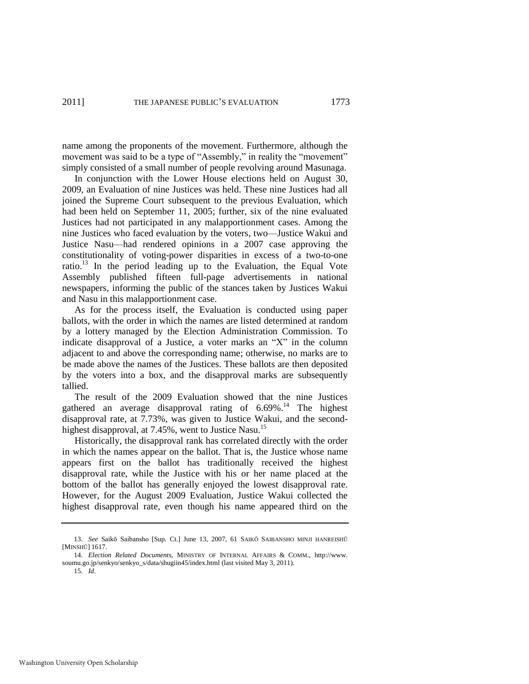name among the proponents of the movement. Furthermore, although the movement was said to be a type of "Assembly," in reality the "movement" simply consisted of a small number of people revolving around Masunaga.

In conjunction with the Lower House elections held on August 30, 2009, an Evaluation of nine Justices was held. These nine Justices had all joined the Supreme Court subsequent to the previous Evaluation, which had been held on September 11, 2005; further, six of the nine evaluated Justices had not participated in any malapportionment cases. Among the nine Justices who faced evaluation by the voters, two—Justice Wakui and Justice Nasu—had rendered opinions in a 2007 case approving the constitutionality of voting-power disparities in excess of a two-to-one ratio.<sup>13</sup> In the period leading up to the Evaluation, the Equal Vote Assembly published fifteen full-page advertisements in national newspapers, informing the public of the stances taken by Justices Wakui and Nasu in this malapportionment case.

As for the process itself, the Evaluation is conducted using paper ballots, with the order in which the names are listed determined at random by a lottery managed by the Election Administration Commission. To indicate disapproval of a Justice, a voter marks an  $X$  in the column adjacent to and above the corresponding name; otherwise, no marks are to be made above the names of the Justices. These ballots are then deposited by the voters into a box, and the disapproval marks are subsequently tallied.

The result of the 2009 Evaluation showed that the nine Justices gathered an average disapproval rating of  $6.69\%$ <sup>14</sup>. The highest disapproval rate, at 7.73%, was given to Justice Wakui, and the secondhighest disapproval, at 7.45%, went to Justice Nasu.<sup>15</sup>

Historically, the disapproval rank has correlated directly with the order in which the names appear on the ballot. That is, the Justice whose name appears first on the ballot has traditionally received the highest disapproval rate, while the Justice with his or her name placed at the bottom of the ballot has generally enjoyed the lowest disapproval rate. However, for the August 2009 Evaluation, Justice Wakui collected the highest disapproval rate, even though his name appeared third on the

<sup>13.</sup> *See* Saikō Saibansho [Sup. Ct.] June 13, 2007, 61 SAIKŌ SAIBANSHO MINJI HANREISHŪ [MINSHŪ] 1617.

<sup>14.</sup> *Election Related Documents*, MINISTRY OF INTERNAL AFFAIRS & COMM., [http://www.](http://www/)  soumu.go.jp/senkyo/senkyo\_s/data/shugiin45/index.html (last visited May 3, 2011).

<sup>15.</sup> *Id.*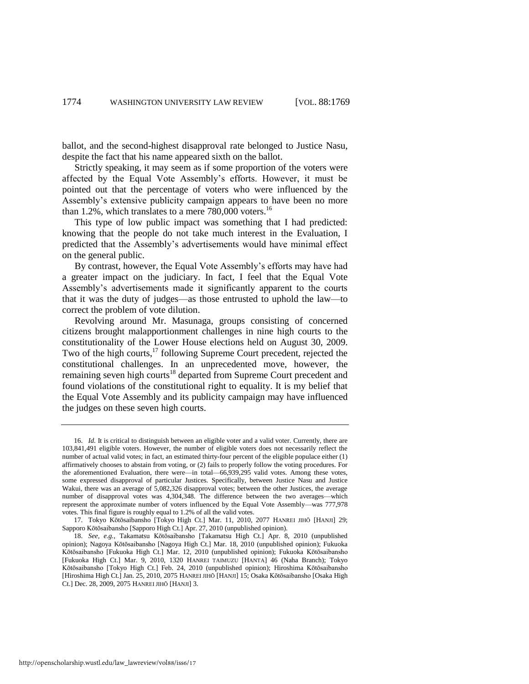ballot, and the second-highest disapproval rate belonged to Justice Nasu, despite the fact that his name appeared sixth on the ballot.

Strictly speaking, it may seem as if some proportion of the voters were affected by the Equal Vote Assembly's efforts. However, it must be pointed out that the percentage of voters who were influenced by the Assembly's extensive publicity campaign appears to have been no more than 1.2%, which translates to a mere  $780,000$  voters.<sup>16</sup>

This type of low public impact was something that I had predicted: knowing that the people do not take much interest in the Evaluation, I predicted that the Assembly's advertisements would have minimal effect on the general public.

By contrast, however, the Equal Vote Assembly's efforts may have had a greater impact on the judiciary. In fact, I feel that the Equal Vote Assembly's advertisements made it significantly apparent to the courts that it was the duty of judges—as those entrusted to uphold the law—to correct the problem of vote dilution.

Revolving around Mr. Masunaga, groups consisting of concerned citizens brought malapportionment challenges in nine high courts to the constitutionality of the Lower House elections held on August 30, 2009. Two of the high courts, $^{17}$  following Supreme Court precedent, rejected the constitutional challenges. In an unprecedented move, however, the remaining seven high courts<sup>18</sup> departed from Supreme Court precedent and found violations of the constitutional right to equality. It is my belief that the Equal Vote Assembly and its publicity campaign may have influenced the judges on these seven high courts.

<sup>16.</sup> *Id.* It is critical to distinguish between an eligible voter and a valid voter. Currently, there are 103,841,491 eligible voters. However, the number of eligible voters does not necessarily reflect the number of actual valid votes; in fact, an estimated thirty-four percent of the eligible populace either (1) affirmatively chooses to abstain from voting, or (2) fails to properly follow the voting procedures. For the aforementioned Evaluation, there were—in total—66,939,295 valid votes. Among these votes, some expressed disapproval of particular Justices. Specifically, between Justice Nasu and Justice Wakui, there was an average of 5,082,326 disapproval votes; between the other Justices, the average number of disapproval votes was 4,304,348. The difference between the two averages—which represent the approximate number of voters influenced by the Equal Vote Assembly—was 777,978 votes. This final figure is roughly equal to 1.2% of all the valid votes.

<sup>17.</sup> Tokyo Kōtōsaibansho [Tokyo High Ct.] Mar. 11, 2010, 2077 HANREI JIHŌ [HANJI] 29; Sapporo Kōtōsaibansho [Sapporo High Ct.] Apr. 27, 2010 (unpublished opinion).

<sup>18.</sup> *See, e.g.*, Takamatsu Kōtōsaibansho [Takamatsu High Ct.] Apr. 8, 2010 (unpublished opinion); Nagoya Kōtōsaibansho [Nagoya High Ct.] Mar. 18, 2010 (unpublished opinion); Fukuoka Kōtōsaibansho [Fukuoka High Ct.] Mar. 12, 2010 (unpublished opinion); Fukuoka Kōtōsaibansho [Fukuoka High Ct.] Mar. 9, 2010, 1320 HANREI TAIMUZU [HANTA] 46 (Naha Branch); Tokyo Kōtōsaibansho [Tokyo High Ct.] Feb. 24, 2010 (unpublished opinion); Hiroshima Kōtōsaibansho [Hiroshima High Ct.] Jan. 25, 2010, 2075 HANREI JIHŌ [HANJI] 15; Osaka Kōtōsaibansho [Osaka High Ct.] Dec. 28, 2009, 2075 HANREI JIHŌ [HANJI] 3.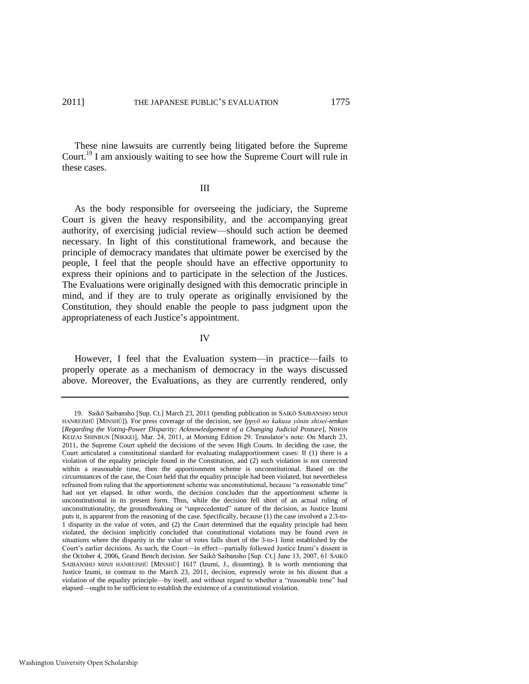These nine lawsuits are currently being litigated before the Supreme Court.<sup>19</sup> I am anxiously waiting to see how the Supreme Court will rule in these cases.

#### III

As the body responsible for overseeing the judiciary, the Supreme Court is given the heavy responsibility, and the accompanying great authority, of exercising judicial review—should such action be deemed necessary. In light of this constitutional framework, and because the principle of democracy mandates that ultimate power be exercised by the people, I feel that the people should have an effective opportunity to express their opinions and to participate in the selection of the Justices. The Evaluations were originally designed with this democratic principle in mind, and if they are to truly operate as originally envisioned by the Constitution, they should enable the people to pass judgment upon the appropriateness of each Justice's appointment.

#### IV

However, I feel that the Evaluation system—in practice—fails to properly operate as a mechanism of democracy in the ways discussed above. Moreover, the Evaluations, as they are currently rendered, only

<sup>19.</sup> Saikō Saibansho [Sup. Ct.] March 23, 2011 (pending publication in SAIKŌ SAIBANSHO MINJI HANREISHŪ [MINSHŪ]). For press coverage of the decision, see *Ippyō no kakusa yōnin shisei-tenkan* [*Regarding the Voting-Power Disparity: Acknowledgement of a Changing Judicial Posture*], NIHON KEIZAI SHINBUN [NIKKEI], Mar. 24, 2011, at Morning Edition 29. Translator's note: On March 23, 2011, the Supreme Court upheld the decisions of the seven High Courts. In deciding the case, the Court articulated a constitutional standard for evaluating malapportionment cases: If (1) there is a violation of the equality principle found in the Constitution, and (2) such violation is not corrected within a reasonable time, then the apportionment scheme is unconstitutional. Based on the circumstances of the case, the Court held that the equality principle had been violated, but nevertheless refrained from ruling that the apportionment scheme was unconstitutional, because "a reasonable time" had not yet elapsed. In other words, the decision concludes that the apportionment scheme is unconstitutional in its present form. Thus, while the decision fell short of an actual ruling of unconstitutionality, the groundbreaking or "unprecedented" nature of the decision, as Justice Izumi puts it, is apparent from the reasoning of the case. Specifically, because (1) the case involved a 2.3-to-1 disparity in the value of votes, and (2) the Court determined that the equality principle had been violated, the decision implicitly concluded that constitutional violations may be found *even in situations* where the disparity in the value of votes falls short of the 3-to-1 limit established by the Court's earlier decisions. As such, the Court—in effect—partially followed Justice Izumi's dissent in the October 4, 2006, Grand Bench decision. *See* Saikō Saibansho [Sup. Ct.] June 13, 2007, 61 SAIKŌ SAIBANSHO MINJI HANREISHŪ [MINSHŪ] 1617 (Izumi, J., dissenting). It is worth mentioning that Justice Izumi, in contrast to the March 23, 2011, decision, expressly wrote in his dissent that a violation of the equality principle—by itself, and without regard to whether a "reasonable time" had elapsed—ought to be sufficient to establish the existence of a constitutional violation.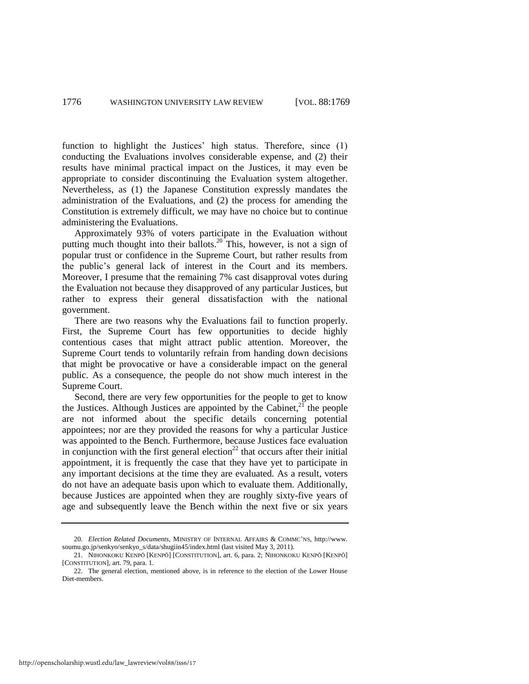function to highlight the Justices' high status. Therefore, since (1) conducting the Evaluations involves considerable expense, and (2) their results have minimal practical impact on the Justices, it may even be appropriate to consider discontinuing the Evaluation system altogether. Nevertheless, as (1) the Japanese Constitution expressly mandates the administration of the Evaluations, and (2) the process for amending the Constitution is extremely difficult, we may have no choice but to continue administering the Evaluations.

Approximately 93% of voters participate in the Evaluation without putting much thought into their ballots.<sup>20</sup> This, however, is not a sign of popular trust or confidence in the Supreme Court, but rather results from the public's general lack of interest in the Court and its members. Moreover, I presume that the remaining 7% cast disapproval votes during the Evaluation not because they disapproved of any particular Justices, but rather to express their general dissatisfaction with the national government.

There are two reasons why the Evaluations fail to function properly. First, the Supreme Court has few opportunities to decide highly contentious cases that might attract public attention. Moreover, the Supreme Court tends to voluntarily refrain from handing down decisions that might be provocative or have a considerable impact on the general public. As a consequence, the people do not show much interest in the Supreme Court.

Second, there are very few opportunities for the people to get to know the Justices. Although Justices are appointed by the Cabinet, $^{21}$  the people are not informed about the specific details concerning potential appointees; nor are they provided the reasons for why a particular Justice was appointed to the Bench. Furthermore, because Justices face evaluation in conjunction with the first general election<sup>22</sup> that occurs after their initial appointment, it is frequently the case that they have yet to participate in any important decisions at the time they are evaluated. As a result, voters do not have an adequate basis upon which to evaluate them. Additionally, because Justices are appointed when they are roughly sixty-five years of age and subsequently leave the Bench within the next five or six years

<sup>20.</sup> *Election Related Documents*, MINISTRY OF INTERNAL AFFAIRS & COMMC'NS, http://www. soumu.go.jp/senkyo/senkyo\_s/data/shugiin45/index.html (last visited May 3, 2011).

<sup>21.</sup> NIHONKOKU KENPŌ [KENPŌ] [CONSTITUTION], art. 6, para. 2; NIHONKOKU KENPŌ [KENPŌ] [CONSTITUTION], art. 79, para. 1.

<sup>22.</sup> The general election, mentioned above, is in reference to the election of the Lower House Diet-members.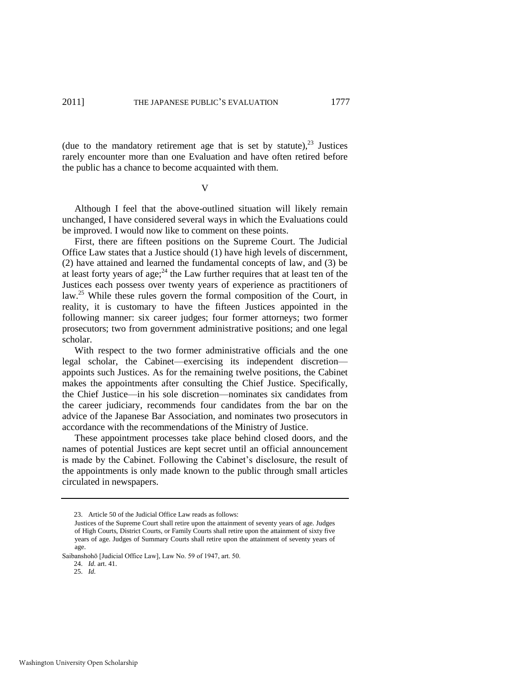(due to the mandatory retirement age that is set by statute),  $23$  Justices rarely encounter more than one Evaluation and have often retired before the public has a chance to become acquainted with them.

V

Although I feel that the above-outlined situation will likely remain unchanged, I have considered several ways in which the Evaluations could be improved. I would now like to comment on these points.

First, there are fifteen positions on the Supreme Court. The Judicial Office Law states that a Justice should (1) have high levels of discernment, (2) have attained and learned the fundamental concepts of law, and (3) be at least forty years of age;<sup>24</sup> the Law further requires that at least ten of the Justices each possess over twenty years of experience as practitioners of law. <sup>25</sup> While these rules govern the formal composition of the Court, in reality, it is customary to have the fifteen Justices appointed in the following manner: six career judges; four former attorneys; two former prosecutors; two from government administrative positions; and one legal scholar.

With respect to the two former administrative officials and the one legal scholar, the Cabinet—exercising its independent discretion appoints such Justices. As for the remaining twelve positions, the Cabinet makes the appointments after consulting the Chief Justice. Specifically, the Chief Justice—in his sole discretion—nominates six candidates from the career judiciary, recommends four candidates from the bar on the advice of the Japanese Bar Association, and nominates two prosecutors in accordance with the recommendations of the Ministry of Justice.

These appointment processes take place behind closed doors, and the names of potential Justices are kept secret until an official announcement is made by the Cabinet. Following the Cabinet's disclosure, the result of the appointments is only made known to the public through small articles circulated in newspapers.

<sup>23.</sup> Article 50 of the Judicial Office Law reads as follows:

Justices of the Supreme Court shall retire upon the attainment of seventy years of age. Judges of High Courts, District Courts, or Family Courts shall retire upon the attainment of sixty five years of age. Judges of Summary Courts shall retire upon the attainment of seventy years of age.

Saibanshohō [Judicial Office Law], Law No. 59 of 1947, art. 50.

<sup>24.</sup> *Id.* art. 41.

<sup>25.</sup> *Id.*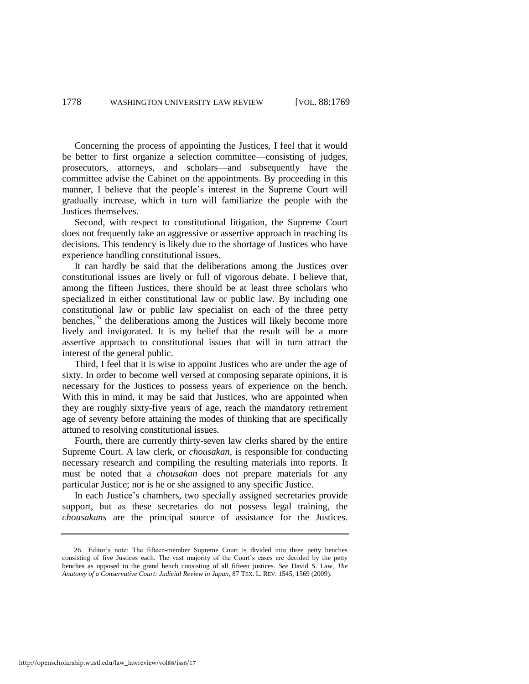Concerning the process of appointing the Justices, I feel that it would be better to first organize a selection committee—consisting of judges, prosecutors, attorneys, and scholars—and subsequently have the committee advise the Cabinet on the appointments. By proceeding in this manner, I believe that the people's interest in the Supreme Court will gradually increase, which in turn will familiarize the people with the Justices themselves.

Second, with respect to constitutional litigation, the Supreme Court does not frequently take an aggressive or assertive approach in reaching its decisions. This tendency is likely due to the shortage of Justices who have experience handling constitutional issues.

It can hardly be said that the deliberations among the Justices over constitutional issues are lively or full of vigorous debate. I believe that, among the fifteen Justices, there should be at least three scholars who specialized in either constitutional law or public law. By including one constitutional law or public law specialist on each of the three petty benches, $2<sup>6</sup>$  the deliberations among the Justices will likely become more lively and invigorated. It is my belief that the result will be a more assertive approach to constitutional issues that will in turn attract the interest of the general public.

<span id="page-10-0"></span>Third, I feel that it is wise to appoint Justices who are under the age of sixty. In order to become well versed at composing separate opinions, it is necessary for the Justices to possess years of experience on the bench. With this in mind, it may be said that Justices, who are appointed when they are roughly sixty-five years of age, reach the mandatory retirement age of seventy before attaining the modes of thinking that are specifically attuned to resolving constitutional issues.

Fourth, there are currently thirty-seven law clerks shared by the entire Supreme Court. A law clerk, or *chousakan*, is responsible for conducting necessary research and compiling the resulting materials into reports. It must be noted that a *chousakan* does not prepare materials for any particular Justice; nor is he or she assigned to any specific Justice.

In each Justice's chambers, two specially assigned secretaries provide support, but as these secretaries do not possess legal training, the *chousakans* are the principal source of assistance for the Justices.

<sup>26.</sup> Editor's note: The fifteen-member Supreme Court is divided into three petty benches consisting of five Justices each. The vast majority of the Court's cases are decided by the petty benches as opposed to the grand bench consisting of all fifteen justices. *See* David S. Law, *The Anatomy of a Conservative Court: Judicial Review in Japan*, 87 TEX. L. REV. 1545, 1569 (2009).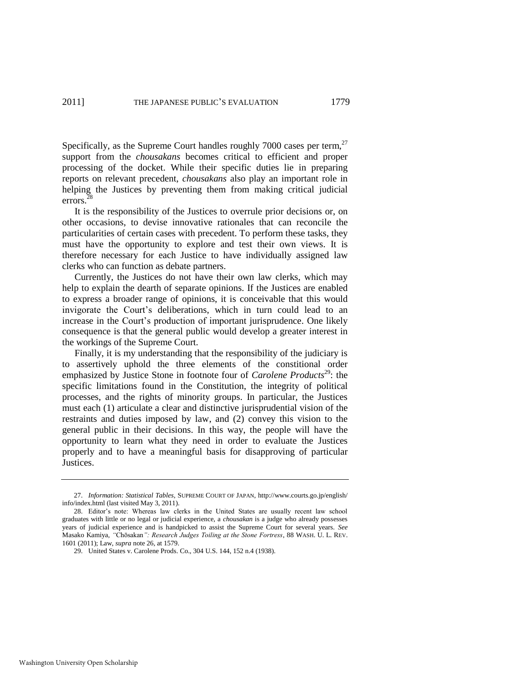Specifically, as the Supreme Court handles roughly  $7000$  cases per term,  $27$ support from the *chousakans* becomes critical to efficient and proper processing of the docket. While their specific duties lie in preparing reports on relevant precedent, *chousakans* also play an important role in helping the Justices by preventing them from making critical judicial errors. $^{28}$ 

It is the responsibility of the Justices to overrule prior decisions or, on other occasions, to devise innovative rationales that can reconcile the particularities of certain cases with precedent. To perform these tasks, they must have the opportunity to explore and test their own views. It is therefore necessary for each Justice to have individually assigned law clerks who can function as debate partners.

Currently, the Justices do not have their own law clerks, which may help to explain the dearth of separate opinions. If the Justices are enabled to express a broader range of opinions, it is conceivable that this would invigorate the Court's deliberations, which in turn could lead to an increase in the Court's production of important jurisprudence. One likely consequence is that the general public would develop a greater interest in the workings of the Supreme Court.

Finally, it is my understanding that the responsibility of the judiciary is to assertively uphold the three elements of the constitional order emphasized by Justice Stone in footnote four of *Carolene Products*<sup>29</sup>: the specific limitations found in the Constitution, the integrity of political processes, and the rights of minority groups. In particular, the Justices must each (1) articulate a clear and distinctive jurisprudential vision of the restraints and duties imposed by law, and (2) convey this vision to the general public in their decisions. In this way, the people will have the opportunity to learn what they need in order to evaluate the Justices properly and to have a meaningful basis for disapproving of particular Justices.

<sup>27.</sup> *Information: Statistical Tables*, SUPREME COURT OF JAPAN, http://www.courts.go.jp/english/ info/index.html (last visited May 3, 2011).

<sup>28.</sup> Editor's note: Whereas law clerks in the United States are usually recent law school graduates with little or no legal or judicial experience, a *chousakan* is a judge who already possesses years of judicial experience and is handpicked to assist the Supreme Court for several years. *See* Masako Kamiya, *"*Chōsakan*": Research Judges Toiling at the Stone Fortress*, 88 WASH. U. L. REV. 1601 (2011); Law, *supra* note [26,](#page-10-0) at 1579.

<sup>29.</sup> United States v. Carolene Prods. Co., 304 U.S. 144, 152 n.4 (1938).